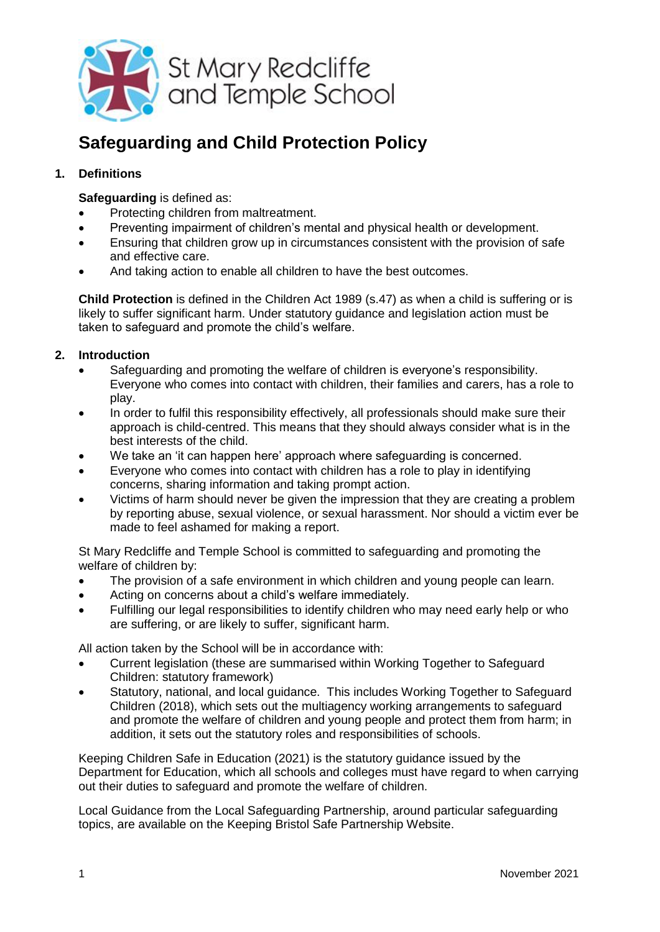

# **Safeguarding and Child Protection Policy**

## **1. Definitions**

**Safeguarding** is defined as:

- Protecting children from maltreatment.
- Preventing impairment of children's mental and physical health or development.
- Ensuring that children grow up in circumstances consistent with the provision of safe and effective care.
- And taking action to enable all children to have the best outcomes.

**Child Protection** is defined in the Children Act 1989 (s.47) as when a child is suffering or is likely to suffer significant harm. Under statutory guidance and legislation action must be taken to safeguard and promote the child's welfare.

## **2. Introduction**

- Safeguarding and promoting the welfare of children is everyone's responsibility. Everyone who comes into contact with children, their families and carers, has a role to play.
- In order to fulfil this responsibility effectively, all professionals should make sure their approach is child-centred. This means that they should always consider what is in the best interests of the child.
- We take an 'it can happen here' approach where safeguarding is concerned.
- Everyone who comes into contact with children has a role to play in identifying concerns, sharing information and taking prompt action.
- Victims of harm should never be given the impression that they are creating a problem by reporting abuse, sexual violence, or sexual harassment. Nor should a victim ever be made to feel ashamed for making a report.

St Mary Redcliffe and Temple School is committed to safeguarding and promoting the welfare of children by:

- The provision of a safe environment in which children and young people can learn.
- Acting on concerns about a child's welfare immediately.
- Fulfilling our legal responsibilities to identify children who may need early help or who are suffering, or are likely to suffer, significant harm.

All action taken by the School will be in accordance with:

- Current legislation (these are summarised within [Working Together to Safeguard](https://assets.publishing.service.gov.uk/government/uploads/system/uploads/attachment_data/file/722307/Working_Together_to_Safeguard_Children_Statutory_framework.pdf)  [Children: statutory framework\)](https://assets.publishing.service.gov.uk/government/uploads/system/uploads/attachment_data/file/722307/Working_Together_to_Safeguard_Children_Statutory_framework.pdf)
- Statutory, national, and local guidance. This includes Working Together to Safeguard Children (2018), which sets out the multiagency working arrangements to safeguard and promote the welfare of children and young people and protect them from harm; in addition, it sets out the statutory roles and responsibilities of schools.

Keeping Children Safe in Education (2021) is the statutory guidance issued by the Department for Education, which all schools and colleges must have regard to when carrying out their duties to safeguard and promote the welfare of children.

Local Guidance from the Local Safeguarding Partnership, around particular safeguarding topics, are available on the [Keeping Bristol Safe Partnership Website.](https://bristolsafeguarding.org/policies-and-guidance/)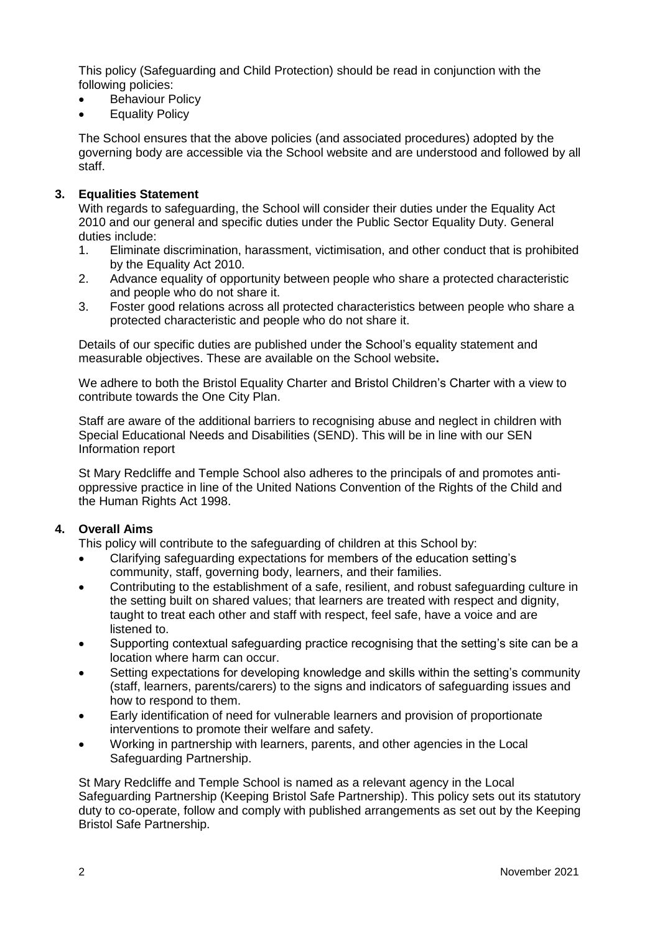This policy (Safeguarding and Child Protection) should be read in conjunction with the following policies:

- Behaviour Policy
- Equality Policy

The School ensures that the above policies (and associated procedures) adopted by the governing body are accessible via the School website and are understood and followed by all staff.

#### **3. Equalities Statement**

With regards to safeguarding, the School will consider their duties under the Equality Act [2010](https://www.legislation.gov.uk/ukpga/2010/15/contents) and our general and specific duties under the [Public Sector Equality Duty.](https://www.gov.uk/government/publications/public-sector-equality-duty) General duties include:

- 1. Eliminate discrimination, harassment, victimisation, and other conduct that is prohibited by the Equality Act 2010.
- 2. Advance equality of opportunity between people who share a protected characteristic and people who do not share it.
- 3. Foster good relations across all protected characteristics between people who share a protected characteristic and people who do not share it.

Details of our specific duties are published under the School's equality statement and measurable objectives. These are available on the School website**.**

We adhere to both the [Bristol Equality Charter](https://www.bristol.gov.uk/people-communities/bristol-equality-charter) and [Bristol Children's Charter](https://news.bristol.gov.uk/news/bristol-launches-first-city-wide-pledge-to-children) with a view to contribute towards the [One City Plan.](https://www.bristolonecity.com/wp-content/pdf/BD11190-One-CIty-Plan-web-version.pdf)

Staff are aware of the additional barriers to recognising abuse and neglect in children with Special Educational Needs and Disabilities (SEND). This will be in line with our SEN Information report

St Mary Redcliffe and Temple School also adheres to the principals of and promotes antioppressive practice in line of the [United Nations Convention of the Rights of](https://www.unicef.org.uk/what-we-do/un-convention-child-rights/#:~:text=The%20United%20Nations%20Convention%20on%20the%20Rights%20of,in%20history.%20What%20makes%20the%20UNCRC%20so%20special%3F) the Child and the [Human Rights Act 1998.](https://www.legislation.gov.uk/ukpga/1998/42?timeline=false)

#### **4. Overall Aims**

This policy will contribute to the safeguarding of children at this School by:

- Clarifying safeguarding expectations for members of the education setting's community, staff, governing body, learners, and their families.
- Contributing to the establishment of a safe, resilient, and robust safeguarding culture in the setting built on shared values; that learners are treated with respect and dignity, taught to treat each other and staff with respect, feel safe, have a voice and are listened to.
- Supporting contextual safeguarding practice recognising that the setting's site can be a location where harm can occur.
- Setting expectations for developing knowledge and skills within the setting's community (staff, learners, parents/carers) to the signs and indicators of safeguarding issues and how to respond to them.
- Early identification of need for vulnerable learners and provision of proportionate interventions to promote their welfare and safety.
- Working in partnership with learners, parents, and other agencies in the Local Safeguarding Partnership.

St Mary Redcliffe and Temple School is named as a relevant agency in the Local Safeguarding Partnership (Keeping Bristol Safe Partnership). This policy sets out its statutory duty to co-operate, follow and comply with published arrangements as set out by the Keeping Bristol Safe Partnership.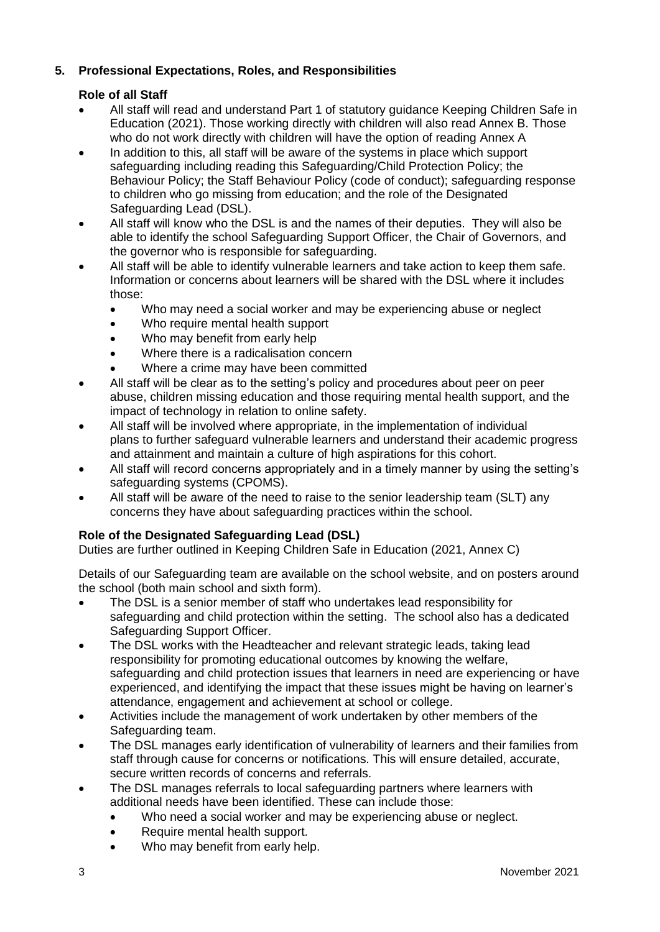# **5. Professional Expectations, Roles, and Responsibilities**

# **Role of all Staff**

- All staff will read and understand Part 1 of statutory guidance Keeping Children Safe in Education (2021). Those working directly with children will also read Annex B. Those who do not work directly with children will have the option of reading Annex A
- In addition to this, all staff will be aware of the systems in place which support safeguarding including reading this Safeguarding/Child Protection Policy; the Behaviour Policy; the Staff Behaviour Policy (code of conduct); safeguarding response to children who go missing from education; and the role of the Designated Safeguarding Lead (DSL).
- All staff will know who the DSL is and the names of their deputies. They will also be able to identify the school Safeguarding Support Officer, the Chair of Governors, and the governor who is responsible for safeguarding.
- All staff will be able to identify vulnerable learners and take action to keep them safe. Information or concerns about learners will be shared with the DSL where it includes those:
	- Who may need a social worker and may be experiencing abuse or neglect
	- Who require mental health support
	- Who may benefit from early help
	- Where there is a radicalisation concern
	- Where a crime may have been committed
- All staff will be clear as to the setting's policy and procedures about peer on peer abuse, children missing education and those requiring mental health support, and the impact of technology in relation to online safety.
- All staff will be involved where appropriate, in the implementation of individual plans to further safeguard vulnerable learners and understand their academic progress and attainment and maintain a culture of high aspirations for this cohort.
- All staff will record concerns appropriately and in a timely manner by using the setting's safeguarding systems (CPOMS).
- All staff will be aware of the need to raise to the senior leadership team (SLT) any concerns they have about safeguarding practices within the school.

# **Role of the Designated Safeguarding Lead (DSL)**

Duties are further outlined in Keeping Children Safe in Education (2021, Annex C)

Details of our Safeguarding team are available on the school website, and on posters around the school (both main school and sixth form).

- The DSL is a senior member of staff who undertakes lead responsibility for safeguarding and child protection within the setting. The school also has a dedicated Safeguarding Support Officer.
- The DSL works with the Headteacher and relevant strategic leads, taking lead responsibility for promoting educational outcomes by knowing the welfare, safeguarding and child protection issues that learners in need are experiencing or have experienced, and identifying the impact that these issues might be having on learner's attendance, engagement and achievement at school or college.
- Activities include the management of work undertaken by other members of the Safeguarding team.
- The DSL manages early identification of vulnerability of learners and their families from staff through cause for concerns or notifications. This will ensure detailed, accurate, secure written records of concerns and referrals.
- The DSL manages referrals to local safeguarding partners where learners with additional needs have been identified. These can include those:
	- Who need a social worker and may be experiencing abuse or neglect.
	- Require mental health support.
	- Who may benefit from early help.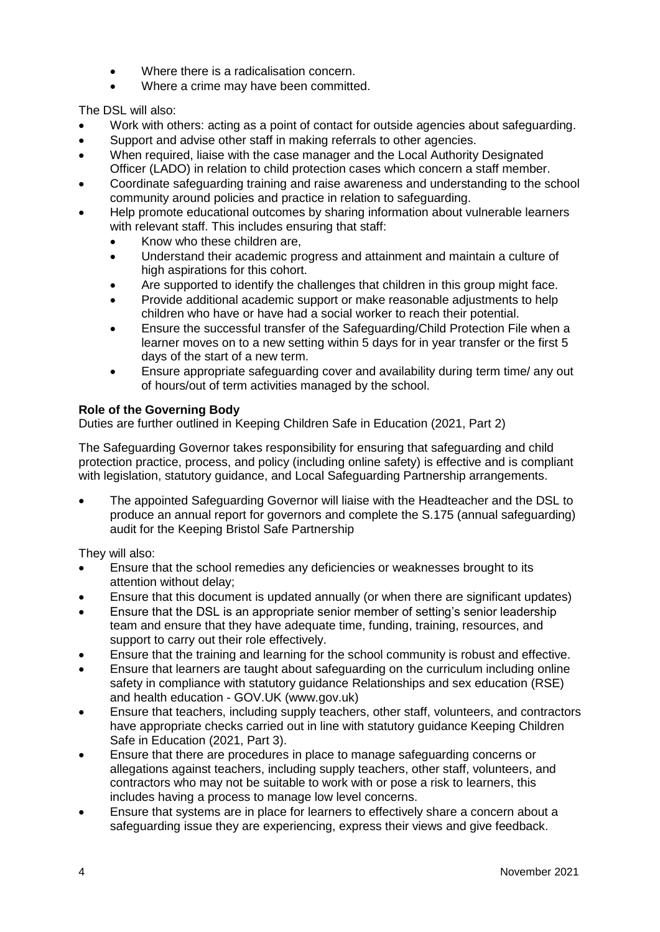- Where there is a radicalisation concern.
- Where a crime may have been committed.

The DSL will also:

- Work with others: acting as a point of contact for outside agencies about safeguarding.
- Support and advise other staff in making referrals to other agencies.
- When required, liaise with the case manager and the Local Authority Designated Officer (LADO) in relation to child protection cases which concern a staff member.
- Coordinate safeguarding training and raise awareness and understanding to the school community around policies and practice in relation to safeguarding.
- Help promote educational outcomes by sharing information about vulnerable learners with relevant staff. This includes ensuring that staff:
	- Know who these children are,
	- Understand their academic progress and attainment and maintain a culture of high aspirations for this cohort.
	- Are supported to identify the challenges that children in this group might face.
	- Provide additional academic support or make reasonable adjustments to help children who have or have had a social worker to reach their potential.
	- Ensure the successful transfer of the Safeguarding/Child Protection File when a learner moves on to a new setting within 5 days for in year transfer or the first 5 days of the start of a new term.
	- Ensure appropriate safeguarding cover and availability during term time/ any out of hours/out of term activities managed by the school.

#### **Role of the Governing Body**

Duties are further outlined in Keeping Children Safe in Education (2021, Part 2)

The Safeguarding Governor takes responsibility for ensuring that safeguarding and child protection practice, process, and policy (including online safety) is effective and is compliant with legislation, statutory guidance, and Local Safeguarding Partnership arrangements.

 The appointed Safeguarding Governor will liaise with the Headteacher and the DSL to produce an annual report for governors and complete the S.175 (annual safeguarding) audit for the Keeping Bristol Safe Partnership

They will also:

- Ensure that the school remedies any deficiencies or weaknesses brought to its attention without delay;
- Ensure that this document is updated annually (or when there are significant updates)
- Ensure that the DSL is an appropriate senior member of setting's senior leadership team and ensure that they have adequate time, funding, training, resources, and support to carry out their role effectively.
- Ensure that the training and learning for the school community is robust and effective.
- Ensure that learners are taught about safeguarding on the curriculum including online safety in compliance with statutory guidance [Relationships and sex education \(RSE\)](https://www.gov.uk/government/publications/relationships-education-relationships-and-sex-education-rse-and-health-education)  and health education - [GOV.UK \(www.gov.uk\)](https://www.gov.uk/government/publications/relationships-education-relationships-and-sex-education-rse-and-health-education)
- Ensure that teachers, including supply teachers, other staff, volunteers, and contractors have appropriate checks carried out in line with statutory guidance Keeping Children Safe in Education (2021, Part 3).
- Ensure that there are procedures in place to manage safeguarding concerns or allegations against teachers, including supply teachers, other staff, volunteers, and contractors who may not be suitable to work with or pose a risk to learners, this includes having a process to manage low level concerns.
- Ensure that systems are in place for learners to effectively share a concern about a safeguarding issue they are experiencing, express their views and give feedback.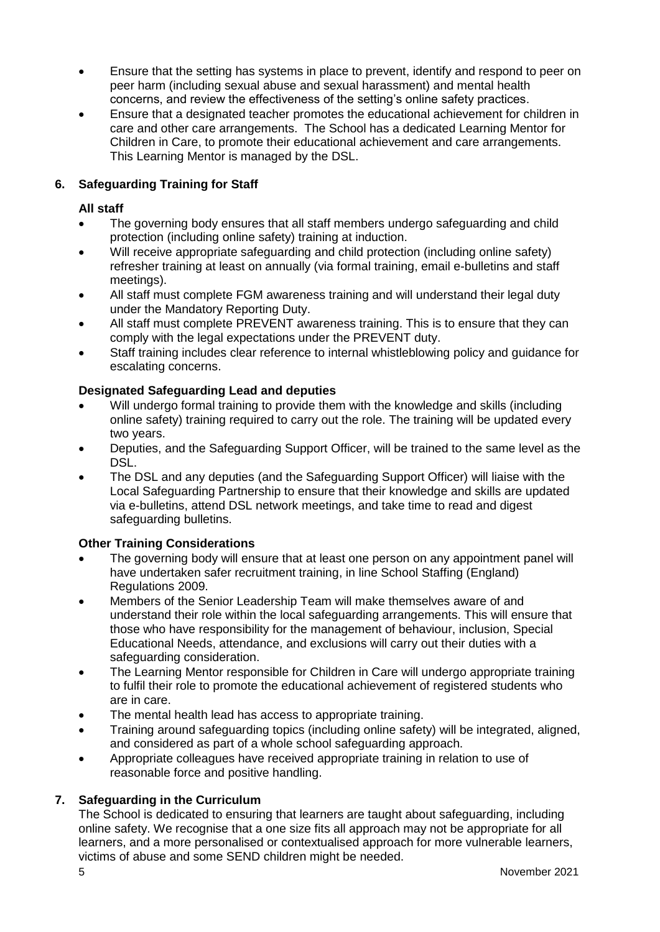- Ensure that the setting has systems in place to prevent, identify and respond to peer on peer harm (including sexual abuse and sexual harassment) and mental health concerns, and review the effectiveness of the setting's online safety practices.
- Ensure that a designated teacher promotes the educational achievement for children in care and other care arrangements. The School has a dedicated Learning Mentor for Children in Care, to promote their educational achievement and care arrangements. This Learning Mentor is managed by the DSL.

## **6. Safeguarding Training for Staff**

#### **All staff**

- The governing body ensures that all staff members undergo safeguarding and child protection (including online safety) training at induction.
- Will receive appropriate safeguarding and child protection (including online safety) refresher training at least on annually (via formal training, email e-bulletins and staff meetings).
- All staff must complete FGM awareness training and will understand their legal duty under the Mandatory Reporting Duty.
- All staff must complete PREVENT awareness training. This is to ensure that they can comply with the legal expectations under the PREVENT duty.
- Staff training includes clear reference to internal whistleblowing policy and guidance for escalating concerns.

#### **Designated Safeguarding Lead and deputies**

- Will undergo formal training to provide them with the knowledge and skills (including online safety) training required to carry out the role. The training will be updated every two years.
- Deputies, and the Safeguarding Support Officer, will be trained to the same level as the DSL.
- The DSL and any deputies (and the Safeguarding Support Officer) will liaise with the Local Safeguarding Partnership to ensure that their knowledge and skills are updated via e-bulletins, attend DSL network meetings, and take time to read and digest safeguarding bulletins.

#### **Other Training Considerations**

- The governing body will ensure that at least one person on any appointment panel will have undertaken safer recruitment training, in line School Staffing (England) Regulations 2009.
- Members of the Senior Leadership Team will make themselves aware of and understand their role within the local safeguarding arrangements. This will ensure that those who have responsibility for the management of behaviour, inclusion, Special Educational Needs, attendance, and exclusions will carry out their duties with a safeguarding consideration.
- The Learning Mentor responsible for Children in Care will undergo appropriate training to fulfil their role to promote the educational achievement of registered students who are in care.
- The mental health lead has access to appropriate training.
- Training around safeguarding topics (including online safety) will be integrated, aligned, and considered as part of a whole school safeguarding approach.
- Appropriate colleagues have received appropriate training in relation to use of reasonable force and positive handling.

#### **7. Safeguarding in the Curriculum**

The School is dedicated to ensuring that learners are taught about safeguarding, including online safety. We recognise that a one size fits all approach may not be appropriate for all learners, and a more personalised or contextualised approach for more vulnerable learners, victims of abuse and some SEND children might be needed.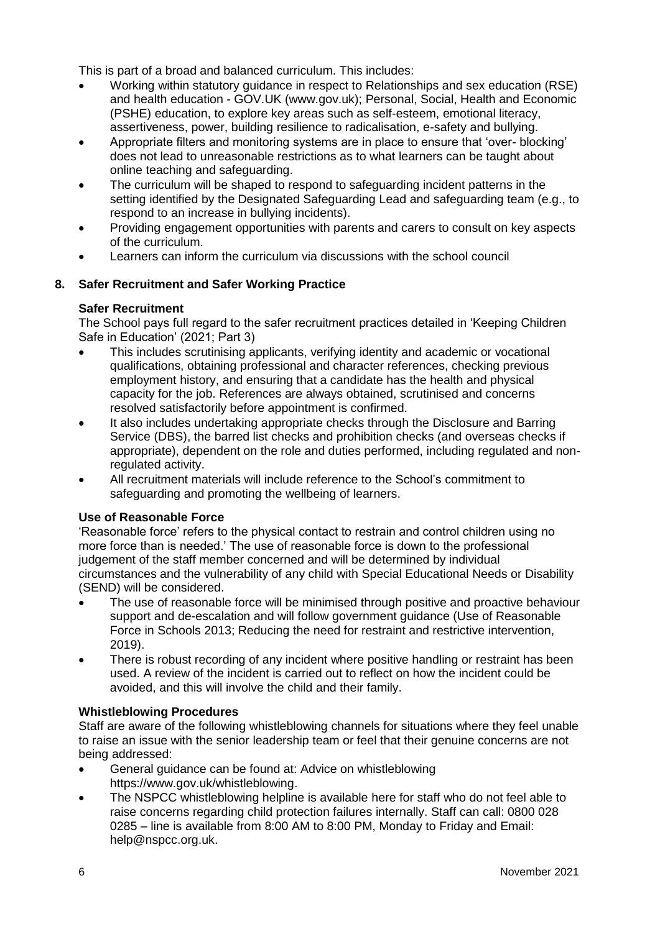This is part of a broad and balanced curriculum. This includes:

- Working within statutory guidance in respect to [Relationships and sex education \(RSE\)](https://www.gov.uk/government/publications/relationships-education-relationships-and-sex-education-rse-and-health-education)  and health education - [GOV.UK \(www.gov.uk\);](https://www.gov.uk/government/publications/relationships-education-relationships-and-sex-education-rse-and-health-education) Personal, Social, Health and Economic (PSHE) education, to explore key areas such as self-esteem, emotional literacy, assertiveness, power, building resilience to radicalisation, e-safety and bullying.
- Appropriate filters and monitoring systems are in place to ensure that 'over- blocking' does not lead to unreasonable restrictions as to what learners can be taught about online teaching and safeguarding.
- The curriculum will be shaped to respond to safeguarding incident patterns in the setting identified by the Designated Safeguarding Lead and safeguarding team (e.g., to respond to an increase in bullying incidents).
- Providing engagement opportunities with parents and carers to consult on key aspects of the curriculum.
- Learners can inform the curriculum via discussions with the school council

# **8. Safer Recruitment and Safer Working Practice**

#### **Safer Recruitment**

The School pays full regard to the safer recruitment practices detailed in 'Keeping Children Safe in Education' (2021; Part 3)

- This includes scrutinising applicants, verifying identity and academic or vocational qualifications, obtaining professional and character references, checking previous employment history, and ensuring that a candidate has the health and physical capacity for the job. References are always obtained, scrutinised and concerns resolved satisfactorily before appointment is confirmed.
- It also includes undertaking appropriate checks through the Disclosure and Barring Service (DBS), the barred list checks and prohibition checks (and overseas checks if appropriate), dependent on the role and duties performed, including regulated and nonregulated activity.
- All recruitment materials will include reference to the School's commitment to safeguarding and promoting the wellbeing of learners.

#### **Use of Reasonable Force**

'Reasonable force' refers to the physical contact to restrain and control children using no more force than is needed.' The use of reasonable force is down to the professional judgement of the staff member concerned and will be determined by individual circumstances and the vulnerability of any child with Special Educational Needs or Disability (SEND) will be considered.

- The use of reasonable force will be minimised through positive and proactive behaviour support and de-escalation and will follow government guidance [\(Use of Reasonable](https://www.gov.uk/government/publications/use-of-reasonable-force-in-schools)  [Force in Schools 2013;](https://www.gov.uk/government/publications/use-of-reasonable-force-in-schools) [Reducing the need for restraint and restrictive intervention,](https://www.gov.uk/government/publications/reducing-the-need-for-restraint-and-restrictive-intervention)  [2019\).](https://www.gov.uk/government/publications/reducing-the-need-for-restraint-and-restrictive-intervention)
- There is robust recording of any incident where positive handling or restraint has been used. A review of the incident is carried out to reflect on how the incident could be avoided, and this will involve the child and their family.

#### **Whistleblowing Procedures**

Staff are aware of the following whistleblowing channels for situations where they feel unable to raise an issue with the senior leadership team or feel that their genuine concerns are not being addressed:

- General guidance can be found at: Advice on whistleblowing [https://www.gov.uk/whistleblowing.](https://www.gov.uk/whistleblowing)
- The NSPCC whistleblowing helpline is available [here](https://www.nspcc.org.uk/what-you-can-do/report-abuse/dedicated-helplines/whistleblowing-advice-line/) for staff who do not feel able to raise concerns regarding child protection failures internally. Staff can call: 0800 028 0285 – line is available from 8:00 AM to 8:00 PM, Monday to Friday and Email: [help@nspcc.org.uk.](mailto:help@nspcc.org.uk)